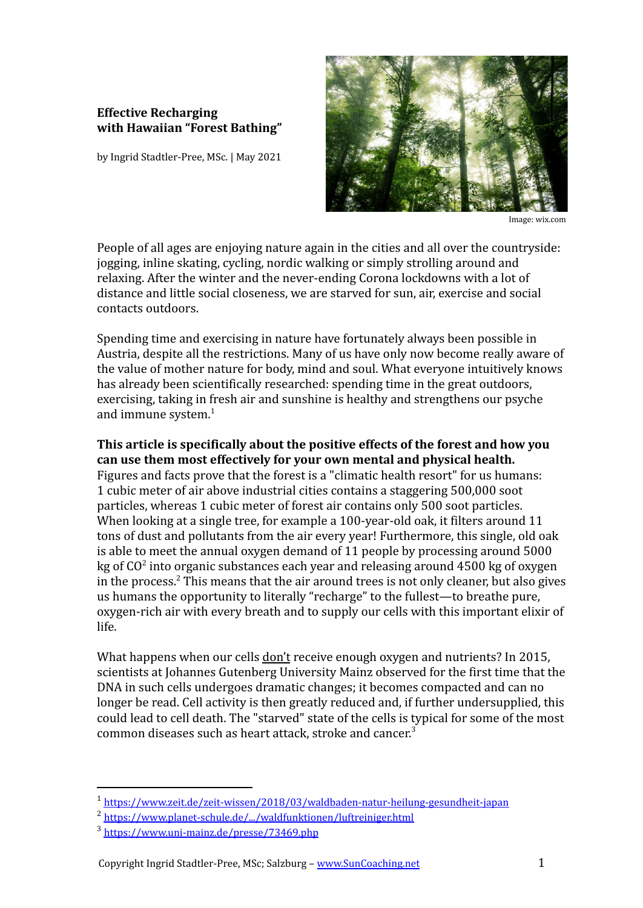## **Effective Recharging with Hawaiian "Forest Bathing"**

by Ingrid Stadtler-Pree, MSc. | May 2021



Image: wix.com

People of all ages are enjoying nature again in the cities and all over the countryside: jogging, inline skating, cycling, nordic walking or simply strolling around and relaxing. After the winter and the never-ending Corona lockdowns with a lot of distance and little social closeness, we are starved for sun, air, exercise and social contacts outdoors.

Spending time and exercising in nature have fortunately always been possible in Austria, despite all the restrictions. Many of us have only now become really aware of the value of mother nature for body, mind and soul. What everyone intuitively knows has already been scientifically researched: spending time in the great outdoors, exercising, taking in fresh air and sunshine is healthy and strengthens our psyche and immune system. $1$ 

**This article is specifically about the positive effects of the forest and how you can use them most effectively for your own mental and physical health.** Figures and facts prove that the forest is a "climatic health resort" for us humans: 1 cubic meter of air above industrial cities contains a staggering 500,000 soot particles, whereas 1 cubic meter of forest air contains only 500 soot particles. When looking at a single tree, for example a 100-year-old oak, it filters around 11 tons of dust and pollutants from the air every year! Furthermore, this single, old oak is able to meet the annual oxygen demand of 11 people by processing around 5000 kg of CO<sup>2</sup> into organic substances each year and releasing around 4500 kg of oxygen in the process. $2$  This means that the air around trees is not only cleaner, but also gives us humans the opportunity to literally "recharge" to the fullest—to breathe pure, oxygen-rich air with every breath and to supply our cells with this important elixir of life.

What happens when our cells don't receive enough oxygen and nutrients? In 2015, scientists at Johannes Gutenberg University Mainz observed for the first time that the DNA in such cells undergoes dramatic changes; it becomes compacted and can no longer be read. Cell activity is then greatly reduced and, if further undersupplied, this could lead to cell death. The "starved" state of the cells is typical for some of the most common diseases such as heart attack, stroke and cancer. 3

<sup>1</sup> <https://www.zeit.de/zeit-wissen/2018/03/waldbaden-natur-heilung-gesundheit-japan>

<sup>2</sup> [https://www.planet-schule.de/.../waldfunktionen/luftreiniger.html](https://www.planet-schule.de/wissenspool/lebensraeume-mensch-und-wald/inhalt/hintergrund/waldfunktionen/luftreiniger.html)

<sup>3</sup> <https://www.uni-mainz.de/presse/73469.php>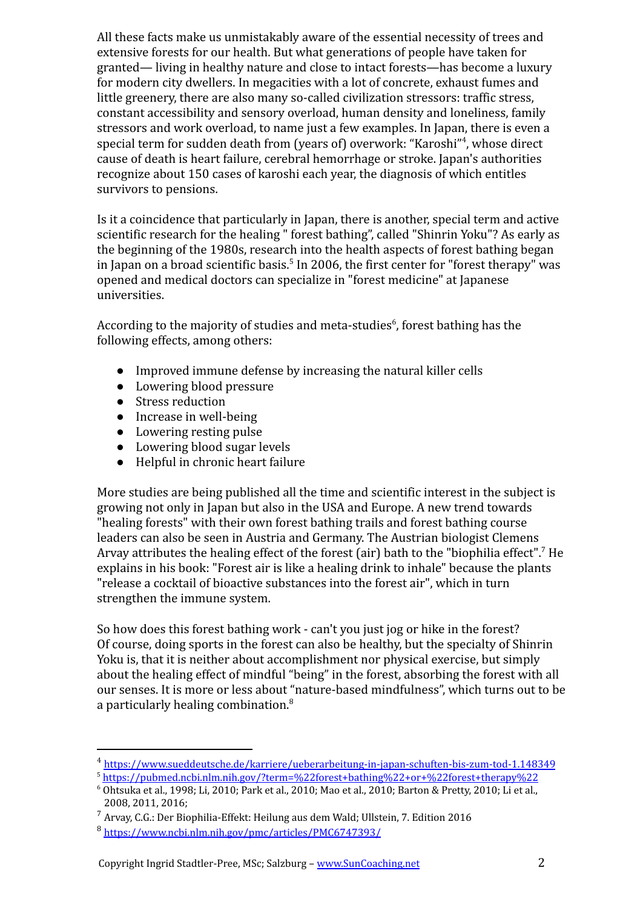All these facts make us unmistakably aware of the essential necessity of trees and extensive forests for our health. But what generations of people have taken for granted— living in healthy nature and close to intact forests—has become a luxury for modern city dwellers. In megacities with a lot of concrete, exhaust fumes and little greenery, there are also many so-called civilization stressors: traffic stress, constant accessibility and sensory overload, human density and loneliness, family stressors and work overload, to name just a few examples. In Japan, there is even a special term for sudden death from (years of) overwork: "Karoshi"<sup>4</sup> , whose direct cause of death is heart failure, cerebral hemorrhage or stroke. Japan's authorities recognize about 150 cases of karoshi each year, the diagnosis of which entitles survivors to pensions.

Is it a coincidence that particularly in Japan, there is another, special term and active scientific research for the healing " forest bathing", called "Shinrin Yoku"? As early as the beginning of the 1980s, research into the health aspects of forest bathing began in Japan on a broad scientific basis.<sup>5</sup> In 2006, the first center for "forest therapy" was opened and medical doctors can specialize in "forest medicine" at Japanese universities.

According to the majority of studies and meta-studies $<sup>6</sup>$ , forest bathing has the</sup> following effects, among others:

- Improved immune defense by increasing the natural killer cells
- Lowering blood pressure
- Stress reduction
- Increase in well-being
- Lowering resting pulse
- Lowering blood sugar levels
- Helpful in chronic heart failure

More studies are being published all the time and scientific interest in the subject is growing not only in Japan but also in the USA and Europe. A new trend towards "healing forests" with their own forest bathing trails and forest bathing course leaders can also be seen in Austria and Germany. The Austrian biologist Clemens Arvay attributes the healing effect of the forest (air) bath to the "biophilia effect".<sup>7</sup> He explains in his book: "Forest air is like a healing drink to inhale" because the plants "release a cocktail of bioactive substances into the forest air", which in turn strengthen the immune system.

So how does this forest bathing work - can't you just jog or hike in the forest? Of course, doing sports in the forest can also be healthy, but the specialty of Shinrin Yoku is, that it is neither about accomplishment nor physical exercise, but simply about the healing effect of mindful "being" in the forest, absorbing the forest with all our senses. It is more or less about "nature-based mindfulness", which turns out to be a particularly healing combination.<sup>8</sup>

<sup>4</sup> <https://www.sueddeutsche.de/karriere/ueberarbeitung-in-japan-schuften-bis-zum-tod-1.148349>

<sup>5</sup> <https://pubmed.ncbi.nlm.nih.gov/?term=%22forest+bathing%22+or+%22forest+therapy%22>

<sup>6</sup> Ohtsuka et al., 1998; Li, 2010; Park et al., 2010; Mao et al., 2010; Barton & Pretty, 2010; Li et al., 2008, 2011, 2016;

<sup>7</sup> Arvay, C.G.: Der Biophilia-Effekt: Heilung aus dem Wald; Ullstein, 7. Edition 2016

<sup>8</sup> <https://www.ncbi.nlm.nih.gov/pmc/articles/PMC6747393/>